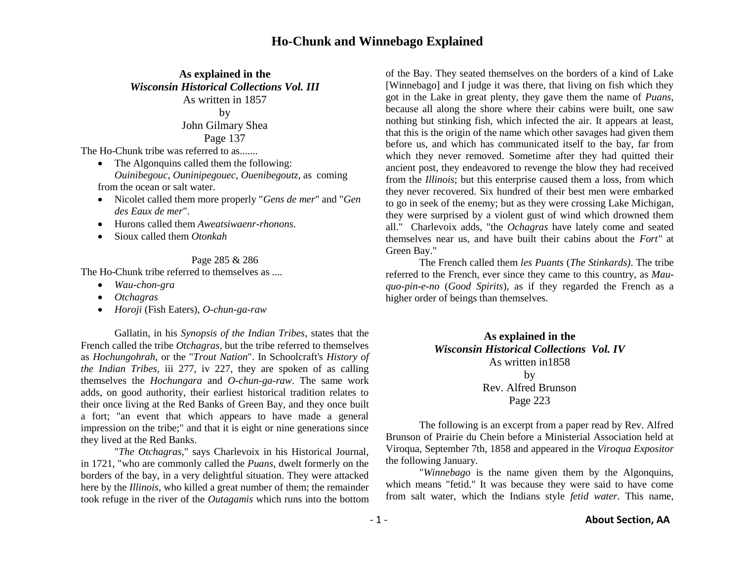### **As explained in the** *Wisconsin Historical Collections Vol. III* As written in 1857

by

# John Gilmary Shea Page 137

The Ho-Chunk tribe was referred to as.......

- The Algonquins called them the following: *Ouinibegouc, Ouninipegouec, Ouenibegoutz*, as coming from the ocean or salt water.
- Nicolet called them more properly "*Gens de mer*" and "*Gen des Eaux de mer*".
- Hurons called them *Aweatsiwaenr-rhonons*.
- Sioux called them *Otonkah*

#### Page 285 & 286

The Ho-Chunk tribe referred to themselves as ....

- *Wau-chon-gra*
- *Otchagras*
- *Horoji* (Fish Eaters), *O-chun-ga-raw*

Gallatin, in his *Synopsis of the Indian Tribes*, states that the French called the tribe *Otchagras,* but the tribe referred to themselves as *Hochungohrah*, or the "*Trout Nation*". In Schoolcraft's *History of the Indian Tribes,* iii 277, iv 227, they are spoken of as calling themselves the *Hochungara* and *O-chun-ga-raw*. The same work adds, on good authority, their earliest historical tradition relates to their once living at the Red Banks of Green Bay, and they once built a fort; "an event that which appears to have made a general impression on the tribe;" and that it is eight or nine generations since they lived at the Red Banks.

"*The Otchagras,*" says Charlevoix in his Historical Journal, in 1721, "who are commonly called the *Puans*, dwelt formerly on the borders of the bay, in a very delightful situation. They were attacked here by the *Illinois*, who killed a great number of them; the remainder took refuge in the river of the *Outagamis* which runs into the bottom

of the Bay. They seated themselves on the borders of a kind of Lake [Winnebago] and I judge it was there, that living on fish which they got in the Lake in great plenty, they gave them the name of *Puans*, because all along the shore where their cabins were built, one saw nothing but stinking fish, which infected the air. It appears at least, that this is the origin of the name which other savages had given them before us, and which has communicated itself to the bay, far from which they never removed. Sometime after they had quitted their ancient post, they endeavored to revenge the blow they had received from the *Illinois*; but this enterprise caused them a loss, from which they never recovered. Six hundred of their best men were embarked to go in seek of the enemy; but as they were crossing Lake Michigan, they were surprised by a violent gust of wind which drowned them all." Charlevoix adds, "the *Ochagras* have lately come and seated themselves near us, and have built their cabins about the *Fort"* at Green Bay."

The French called them *les Puants* (*The Stinkards)*. The tribe referred to the French, ever since they came to this country, as *Mauquo-pin-e-no* (*Good Spirits*), as if they regarded the French as a higher order of beings than themselves.

> **As explained in the** *Wisconsin Historical Collections Vol. IV* As written in1858 by Rev. Alfred Brunson Page 223

The following is an excerpt from a paper read by Rev. Alfred Brunson of Prairie du Chein before a Ministerial Association held at Viroqua, September 7th, 1858 and appeared in the *Viroqua Expositor* the following January.

"*Winnebago* is the name given them by the Algonquins, which means "fetid." It was because they were said to have come from salt water, which the Indians style *fetid water*. This name,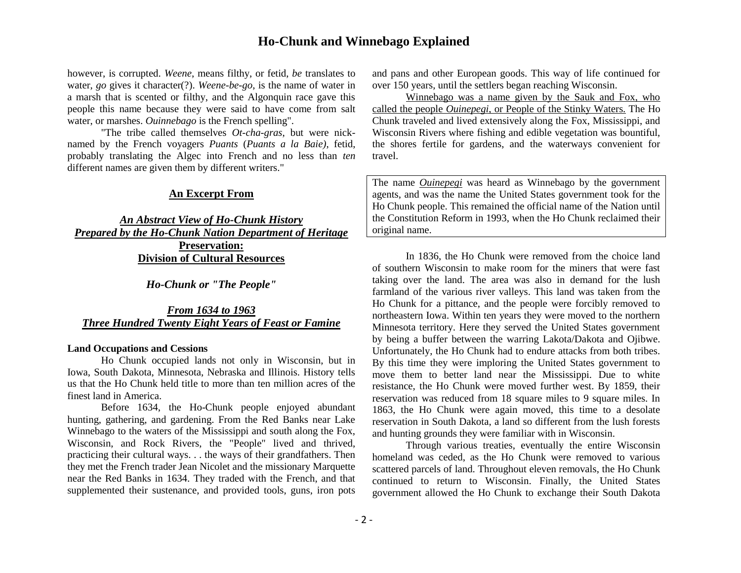however, is corrupted. *Weene*, means filthy, or fetid, *be* translates to water, *go* gives it character(?). *Weene-be-go*, is the name of water in a marsh that is scented or filthy, and the Algonquin race gave this people this name because they were said to have come from salt water, or marshes. *Ouinnebago* is the French spelling".

"The tribe called themselves *Ot-cha-gras*, but were nicknamed by the French voyagers *Puants* (*Puants a la Baie)*, fetid, probably translating the Algec into French and no less than *ten* different names are given them by different writers."

### **An Excerpt From**

*An Abstract View of Ho-Chunk History Prepared by the Ho-Chunk Nation Department of Heritage*  **Preservation: Division of Cultural Resources**

*Ho-Chunk or "The People"*

*From 1634 to 1963 Three Hundred Twenty Eight Years of Feast or Famine*

#### **Land Occupations and Cessions**

Ho Chunk occupied lands not only in Wisconsin, but in Iowa, South Dakota, Minnesota, Nebraska and Illinois. History tells us that the Ho Chunk held title to more than ten million acres of the finest land in America.

Before 1634, the Ho-Chunk people enjoyed abundant hunting, gathering, and gardening. From the Red Banks near Lake Winnebago to the waters of the Mississippi and south along the Fox, Wisconsin, and Rock Rivers, the "People" lived and thrived, practicing their cultural ways. . . the ways of their grandfathers. Then they met the French trader Jean Nicolet and the missionary Marquette near the Red Banks in 1634. They traded with the French, and that supplemented their sustenance, and provided tools, guns, iron pots

and pans and other European goods. This way of life continued for over 150 years, until the settlers began reaching Wisconsin.

Winnebago was a name given by the Sauk and Fox, who called the people *Ouinepegi*, or People of the Stinky Waters. The Ho Chunk traveled and lived extensively along the Fox, Mississippi, and Wisconsin Rivers where fishing and edible vegetation was bountiful, the shores fertile for gardens, and the waterways convenient for travel.

The name *Ouinepegi* was heard as Winnebago by the government agents, and was the name the United States government took for the Ho Chunk people. This remained the official name of the Nation until the Constitution Reform in 1993, when the Ho Chunk reclaimed their original name.

In 1836, the Ho Chunk were removed from the choice land of southern Wisconsin to make room for the miners that were fast taking over the land. The area was also in demand for the lush farmland of the various river valleys. This land was taken from the Ho Chunk for a pittance, and the people were forcibly removed to northeastern Iowa. Within ten years they were moved to the northern Minnesota territory. Here they served the United States government by being a buffer between the warring Lakota/Dakota and Ojibwe. Unfortunately, the Ho Chunk had to endure attacks from both tribes. By this time they were imploring the United States government to move them to better land near the Mississippi. Due to white resistance, the Ho Chunk were moved further west. By 1859, their reservation was reduced from 18 square miles to 9 square miles. In 1863, the Ho Chunk were again moved, this time to a desolate reservation in South Dakota, a land so different from the lush forests and hunting grounds they were familiar with in Wisconsin.

Through various treaties, eventually the entire Wisconsin homeland was ceded, as the Ho Chunk were removed to various scattered parcels of land. Throughout eleven removals, the Ho Chunk continued to return to Wisconsin. Finally, the United States government allowed the Ho Chunk to exchange their South Dakota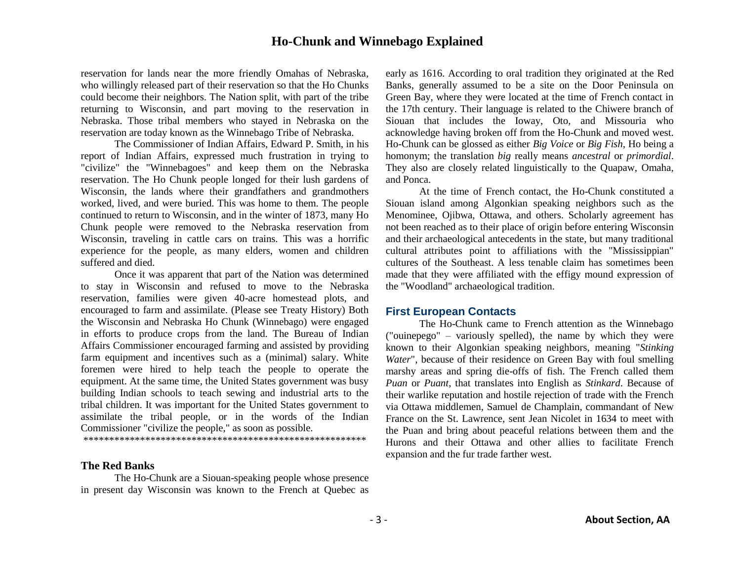reservation for lands near the more friendly Omahas of Nebraska, who willingly released part of their reservation so that the Ho Chunks could become their neighbors. The Nation split, with part of the tribe returning to Wisconsin, and part moving to the reservation in Nebraska. Those tribal members who stayed in Nebraska on the reservation are today known as the Winnebago Tribe of Nebraska.

The Commissioner of Indian Affairs, Edward P. Smith, in his report of Indian Affairs, expressed much frustration in trying to "civilize" the "Winnebagoes" and keep them on the Nebraska reservation. The Ho Chunk people longed for their lush gardens of Wisconsin, the lands where their grandfathers and grandmothers worked, lived, and were buried. This was home to them. The people continued to return to Wisconsin, and in the winter of 1873, many Ho Chunk people were removed to the Nebraska reservation from Wisconsin, traveling in cattle cars on trains. This was a horrific experience for the people, as many elders, women and children suffered and died.

Once it was apparent that part of the Nation was determined to stay in Wisconsin and refused to move to the Nebraska reservation, families were given 40-acre homestead plots, and encouraged to farm and assimilate. (Please see Treaty History) Both the Wisconsin and Nebraska Ho Chunk (Winnebago) were engaged in efforts to produce crops from the land. The Bureau of Indian Affairs Commissioner encouraged farming and assisted by providing farm equipment and incentives such as a (minimal) salary. White foremen were hired to help teach the people to operate the equipment. At the same time, the United States government was busy building Indian schools to teach sewing and industrial arts to the tribal children. It was important for the United States government to assimilate the tribal people, or in the words of the Indian Commissioner "civilize the people," as soon as possible.

\*\*\*\*\*\*\*\*\*\*\*\*\*\*\*\*\*\*\*\*\*\*\*\*\*\*\*\*\*\*\*\*\*\*\*\*\*\*\*\*\*\*\*\*\*\*\*\*\*\*\*\*\*\*\*

#### **The Red Banks**

The Ho-Chunk are a Siouan-speaking people whose presence in present day Wisconsin was known to the French at Quebec as early as 1616. According to oral tradition they originated at the Red Banks, generally assumed to be a site on the Door Peninsula on Green Bay, where they were located at the time of French contact in the 17th century. Their language is related to the Chiwere branch of Siouan that includes the Ioway, Oto, and Missouria who acknowledge having broken off from the Ho-Chunk and moved west. Ho-Chunk can be glossed as either *Big Voice* or *Big Fish*, Ho being a homonym; the translation *big* really means *ancestral* or *primordial*. They also are closely related linguistically to the Quapaw, Omaha, and Ponca.

At the time of French contact, the Ho-Chunk constituted a Siouan island among Algonkian speaking neighbors such as the Menominee, Ojibwa, Ottawa, and others. Scholarly agreement has not been reached as to their place of origin before entering Wisconsin and their archaeological antecedents in the state, but many traditional cultural attributes point to affiliations with the "Mississippian" cultures of the Southeast. A less tenable claim has sometimes been made that they were affiliated with the effigy mound expression of the "Woodland" archaeological tradition.

#### **First European Contacts**

The Ho-Chunk came to French attention as the Winnebago ("ouinepego" – variously spelled), the name by which they were known to their Algonkian speaking neighbors, meaning "*Stinking Water*", because of their residence on Green Bay with foul smelling marshy areas and spring die-offs of fish. The French called them *Puan* or *Puant*, that translates into English as *Stinkard*. Because of their warlike reputation and hostile rejection of trade with the French via Ottawa middlemen, Samuel de Champlain, commandant of New France on the St. Lawrence, sent Jean Nicolet in 1634 to meet with the Puan and bring about peaceful relations between them and the Hurons and their Ottawa and other allies to facilitate French expansion and the fur trade farther west.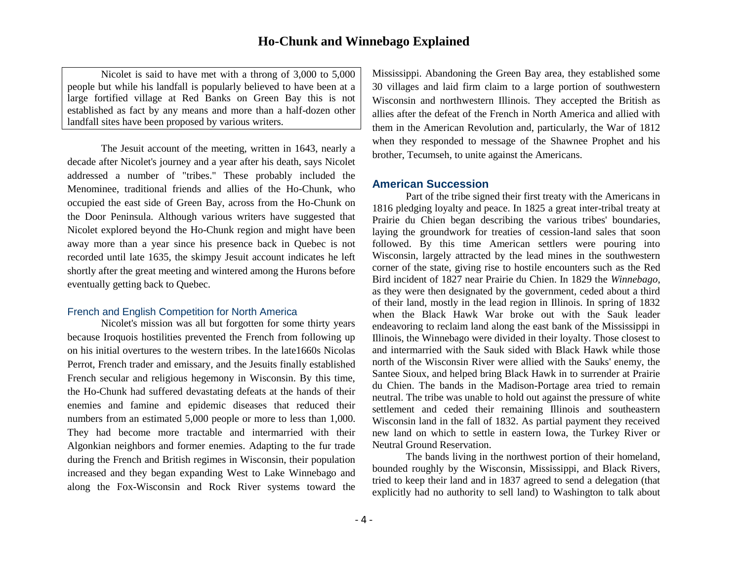Nicolet is said to have met with a throng of 3,000 to 5,000 people but while his landfall is popularly believed to have been at a large fortified village at Red Banks on Green Bay this is not established as fact by any means and more than a half-dozen other landfall sites have been proposed by various writers.

The Jesuit account of the meeting, written in 1643, nearly a decade after Nicolet's journey and a year after his death, says Nicolet addressed a number of "tribes." These probably included the Menominee, traditional friends and allies of the Ho-Chunk, who occupied the east side of Green Bay, across from the Ho-Chunk on the Door Peninsula. Although various writers have suggested that Nicolet explored beyond the Ho-Chunk region and might have been away more than a year since his presence back in Quebec is not recorded until late 1635, the skimpy Jesuit account indicates he left shortly after the great meeting and wintered among the Hurons before eventually getting back to Quebec.

#### French and English Competition for North America

Nicolet's mission was all but forgotten for some thirty years because Iroquois hostilities prevented the French from following up on his initial overtures to the western tribes. In the late1660s Nicolas Perrot, French trader and emissary, and the Jesuits finally established French secular and religious hegemony in Wisconsin. By this time, the Ho-Chunk had suffered devastating defeats at the hands of their enemies and famine and epidemic diseases that reduced their numbers from an estimated 5,000 people or more to less than 1,000. They had become more tractable and intermarried with their Algonkian neighbors and former enemies. Adapting to the fur trade during the French and British regimes in Wisconsin, their population increased and they began expanding West to Lake Winnebago and along the Fox-Wisconsin and Rock River systems toward the

Mississippi. Abandoning the Green Bay area, they established some 30 villages and laid firm claim to a large portion of southwestern Wisconsin and northwestern Illinois. They accepted the British as allies after the defeat of the French in North America and allied with them in the American Revolution and, particularly, the War of 1812 when they responded to message of the Shawnee Prophet and his brother, Tecumseh, to unite against the Americans.

#### **American Succession**

Part of the tribe signed their first treaty with the Americans in 1816 pledging loyalty and peace. In 1825 a great inter-tribal treaty at Prairie du Chien began describing the various tribes' boundaries, laying the groundwork for treaties of cession-land sales that soon followed. By this time American settlers were pouring into Wisconsin, largely attracted by the lead mines in the southwestern corner of the state, giving rise to hostile encounters such as the Red Bird incident of 1827 near Prairie du Chien. In 1829 the *Winnebago*, as they were then designated by the government, ceded about a third of their land, mostly in the lead region in Illinois. In spring of 1832 when the Black Hawk War broke out with the Sauk leader endeavoring to reclaim land along the east bank of the Mississippi in Illinois, the Winnebago were divided in their loyalty. Those closest to and intermarried with the Sauk sided with Black Hawk while those north of the Wisconsin River were allied with the Sauks' enemy, the Santee Sioux, and helped bring Black Hawk in to surrender at Prairie du Chien. The bands in the Madison-Portage area tried to remain neutral. The tribe was unable to hold out against the pressure of white settlement and ceded their remaining Illinois and southeastern Wisconsin land in the fall of 1832. As partial payment they received new land on which to settle in eastern Iowa, the Turkey River or Neutral Ground Reservation.

The bands living in the northwest portion of their homeland, bounded roughly by the Wisconsin, Mississippi, and Black Rivers, tried to keep their land and in 1837 agreed to send a delegation (that explicitly had no authority to sell land) to Washington to talk about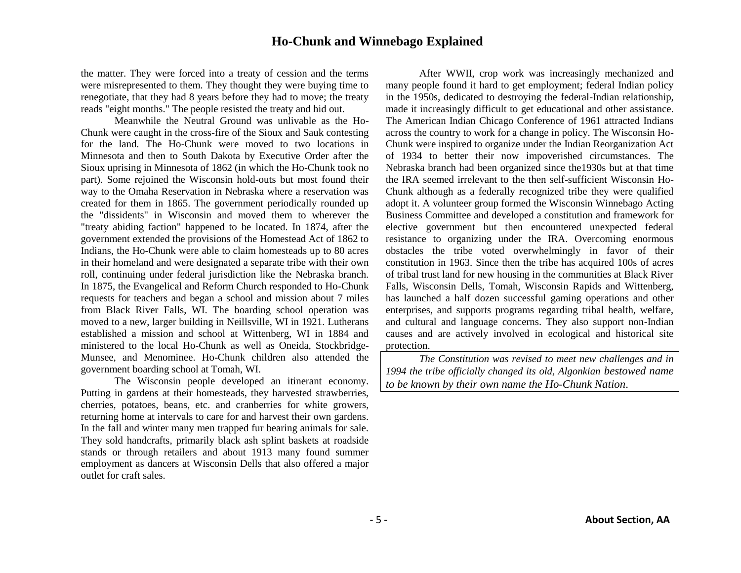the matter. They were forced into a treaty of cession and the terms were misrepresented to them. They thought they were buying time to renegotiate, that they had 8 years before they had to move; the treaty reads "eight months." The people resisted the treaty and hid out.

Meanwhile the Neutral Ground was unlivable as the Ho-Chunk were caught in the cross-fire of the Sioux and Sauk contesting for the land. The Ho-Chunk were moved to two locations in Minnesota and then to South Dakota by Executive Order after the Sioux uprising in Minnesota of 1862 (in which the Ho-Chunk took no part). Some rejoined the Wisconsin hold-outs but most found their way to the Omaha Reservation in Nebraska where a reservation was created for them in 1865. The government periodically rounded up the "dissidents" in Wisconsin and moved them to wherever the "treaty abiding faction" happened to be located. In 1874, after the government extended the provisions of the Homestead Act of 1862 to Indians, the Ho-Chunk were able to claim homesteads up to 80 acres in their homeland and were designated a separate tribe with their own roll, continuing under federal jurisdiction like the Nebraska branch. In 1875, the Evangelical and Reform Church responded to Ho-Chunk requests for teachers and began a school and mission about 7 miles from Black River Falls, WI. The boarding school operation was moved to a new, larger building in Neillsville, WI in 1921. Lutherans established a mission and school at Wittenberg, WI in 1884 and ministered to the local Ho-Chunk as well as Oneida, Stockbridge-Munsee, and Menominee. Ho-Chunk children also attended the government boarding school at Tomah, WI.

The Wisconsin people developed an itinerant economy. Putting in gardens at their homesteads, they harvested strawberries, cherries, potatoes, beans, etc. and cranberries for white growers, returning home at intervals to care for and harvest their own gardens. In the fall and winter many men trapped fur bearing animals for sale. They sold handcrafts, primarily black ash splint baskets at roadside stands or through retailers and about 1913 many found summer employment as dancers at Wisconsin Dells that also offered a major outlet for craft sales.

After WWII, crop work was increasingly mechanized and many people found it hard to get employment; federal Indian policy in the 1950s, dedicated to destroying the federal-Indian relationship, made it increasingly difficult to get educational and other assistance. The American Indian Chicago Conference of 1961 attracted Indians across the country to work for a change in policy. The Wisconsin Ho-Chunk were inspired to organize under the Indian Reorganization Act of 1934 to better their now impoverished circumstances. The Nebraska branch had been organized since the1930s but at that time the IRA seemed irrelevant to the then self-sufficient Wisconsin Ho-Chunk although as a federally recognized tribe they were qualified adopt it. A volunteer group formed the Wisconsin Winnebago Acting Business Committee and developed a constitution and framework for elective government but then encountered unexpected federal resistance to organizing under the IRA. Overcoming enormous obstacles the tribe voted overwhelmingly in favor of their constitution in 1963. Since then the tribe has acquired 100s of acres of tribal trust land for new housing in the communities at Black River Falls, Wisconsin Dells, Tomah, Wisconsin Rapids and Wittenberg, has launched a half dozen successful gaming operations and other enterprises, and supports programs regarding tribal health, welfare, and cultural and language concerns. They also support non-Indian causes and are actively involved in ecological and historical site protection.

*The Constitution was revised to meet new challenges and in 1994 the tribe officially changed its old, Algonkian bestowed name to be known by their own name the Ho-Chunk Nation*.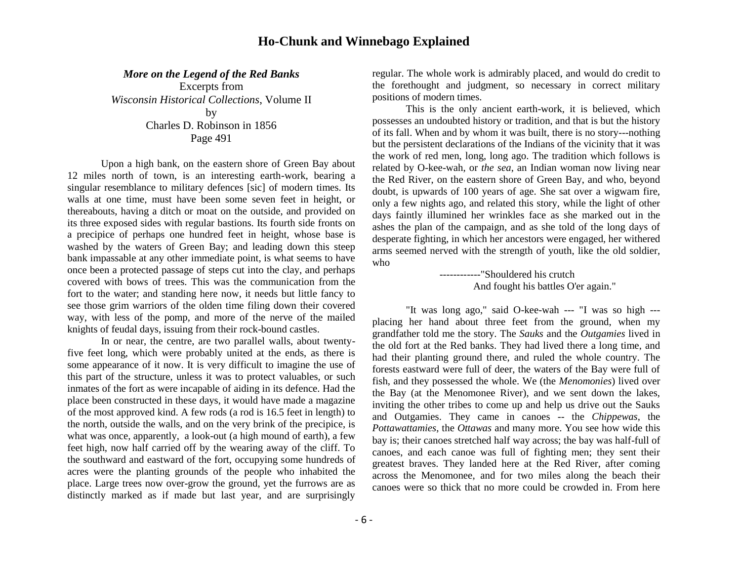*More on the Legend of the Red Banks*

Excerpts from *Wisconsin Historical Collections*, Volume II by Charles D. Robinson in 1856 Page 491

Upon a high bank, on the eastern shore of Green Bay about 12 miles north of town, is an interesting earth-work, bearing a singular resemblance to military defences [sic] of modern times. Its walls at one time, must have been some seven feet in height, or thereabouts, having a ditch or moat on the outside, and provided on its three exposed sides with regular bastions. Its fourth side fronts on a precipice of perhaps one hundred feet in height, whose base is washed by the waters of Green Bay; and leading down this steep bank impassable at any other immediate point, is what seems to have once been a protected passage of steps cut into the clay, and perhaps covered with bows of trees. This was the communication from the fort to the water; and standing here now, it needs but little fancy to see those grim warriors of the olden time filing down their covered way, with less of the pomp, and more of the nerve of the mailed knights of feudal days, issuing from their rock-bound castles.

In or near, the centre, are two parallel walls, about twentyfive feet long, which were probably united at the ends, as there is some appearance of it now. It is very difficult to imagine the use of this part of the structure, unless it was to protect valuables, or such inmates of the fort as were incapable of aiding in its defence. Had the place been constructed in these days, it would have made a magazine of the most approved kind. A few rods (a rod is 16.5 feet in length) to the north, outside the walls, and on the very brink of the precipice, is what was once, apparently, a look-out (a high mound of earth), a few feet high, now half carried off by the wearing away of the cliff. To the southward and eastward of the fort, occupying some hundreds of acres were the planting grounds of the people who inhabited the place. Large trees now over-grow the ground, yet the furrows are as distinctly marked as if made but last year, and are surprisingly

regular. The whole work is admirably placed, and would do credit to the forethought and judgment, so necessary in correct military positions of modern times.

This is the only ancient earth-work, it is believed, which possesses an undoubted history or tradition, and that is but the history of its fall. When and by whom it was built, there is no story---nothing but the persistent declarations of the Indians of the vicinity that it was the work of red men, long, long ago. The tradition which follows is related by O-kee-wah, or *the sea*, an Indian woman now living near the Red River, on the eastern shore of Green Bay, and who, beyond doubt, is upwards of 100 years of age. She sat over a wigwam fire, only a few nights ago, and related this story, while the light of other days faintly illumined her wrinkles face as she marked out in the ashes the plan of the campaign, and as she told of the long days of desperate fighting, in which her ancestors were engaged, her withered arms seemed nerved with the strength of youth, like the old soldier, who

#### ------------"Shouldered his crutch And fought his battles O'er again."

"It was long ago," said O-kee-wah --- "I was so high -- placing her hand about three feet from the ground, when my grandfather told me the story. The *Sauks* and the *Outgamies* lived in the old fort at the Red banks. They had lived there a long time, and had their planting ground there, and ruled the whole country. The forests eastward were full of deer, the waters of the Bay were full of fish, and they possessed the whole. We (the *Menomonies*) lived over the Bay (at the Menomonee River), and we sent down the lakes, inviting the other tribes to come up and help us drive out the Sauks and Outgamies. They came in canoes -- the *Chippewas*, the *Pottawattamies*, the *Ottawas* and many more. You see how wide this bay is; their canoes stretched half way across; the bay was half-full of canoes, and each canoe was full of fighting men; they sent their greatest braves. They landed here at the Red River, after coming across the Menomonee, and for two miles along the beach their canoes were so thick that no more could be crowded in. From here